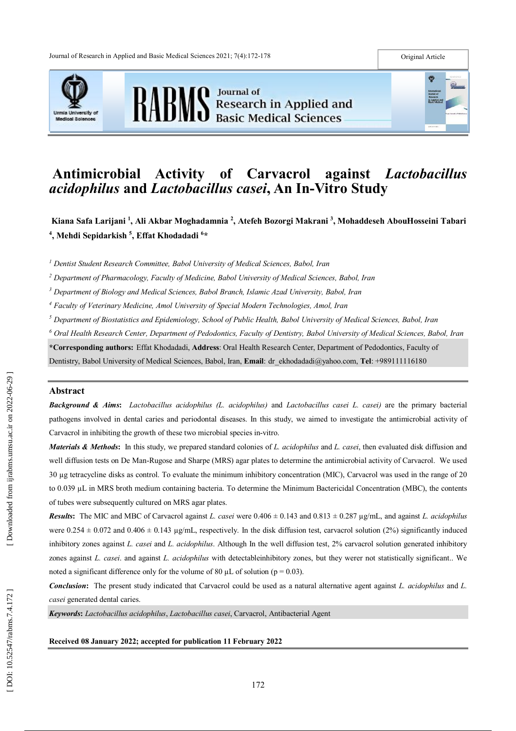





# **Antimicrobial Activity of Carvacrol against** *Lactobacillus acidophilus* **and** *Lactobacillus casei***, An In -Vitro Study**

**Kiana Safa Larijani 1 , Ali Akbar Moghadamnia 2 , Atefeh Bozorgi Makrani 3 , Mohaddeseh AbouHosseini Tabari 4 , Mehdi Sepidarkish 5 , Effat Khodadadi 6 \***

*<sup>1</sup> Dentist Student Research Committee, Babol University of Medical Sciences, Babol, Iran*

*<sup>2</sup> Department of Pharmacology, Faculty of Medicine, Babol University of Medical Sciences, Babol, Iran*

*<sup>3</sup> Department of Biology and Medical Sciences, Babol Branch, Islamic Azad University, Babol, Iran*

*<sup>4</sup> Faculty of Veterinary Medicine, Amol University of Special Modern Technologies, Amol, Iran*

*<sup>5</sup> Department of Biostatistics and Epidemiology, School of Public Health, Babol University of Medical Sciences, Babol, Iran*

*<sup>6</sup> Oral Health Research Center, Department of Pedodontics, Faculty of Dentistry, Babol University of Medical Sciences, Babol, Iran*

**\*Corresponding authors :** Effat Khodadadi, **Address** : Oral Health Research Center, Department of Pedodontics, Faculty of Dentistry, Babol University of Medical Sciences, Babol, Iran, **Email** : dr\_ekhodadadi@yahoo.com, **Tel**: +989111116180

## **Abstract**

*Background & Aims***:** *Lactobacillus acidophilus (L. acidophilus)* and *Lactobacillus casei L. casei)* are the primary bacterial pathogens involved in dental caries and periodontal diseases. In this study, we aimed to investigate the antimicrobial activity of Carvacrol in inhibiting the growth of these two microbial species in -vitro.

*Materials & Methods* **:** In this study, we prepared standard colonies of *L. acidophilus* and *L. casei*, then evaluated disk diffusion and well diffusion tests on De Man-Rugose and Sharpe (MRS) agar plates to determine the antimicrobial activity of Carvacrol. We used 30 µg tetracycline disks as control. To evaluate the minimum inhibitory concentration (MIC), Carvacrol was used in the range of 20 to 0.039 µL in MRS broth medium containing bacteria. To determine the Minimum Bactericidal Concentration (MBC), the contents of tubes were subsequently cultured on MRS agar plates.

*Results* **:** The MIC and MBC of Carvacrol against *L. casei* were 0.406 ± 0.143 and 0.813 ± 0.287 µg/mL, and against *L. acidophilus*  were  $0.254 \pm 0.072$  and  $0.406 \pm 0.143$  µg/mL, respectively. In the disk diffusion test, carvacrol solution (2%) significantly induced inhibitory zones against *L. casei* and *L. acidophilus*. Although In the well diffusion test, 2% carvacrol solution generated inhibitory zones against *L. casei*. and against *L. acidophilus* with detectableinhibitory zones, but they werer not statistically significant.. We noted a significant difference only for the volume of 80  $\mu$ L of solution (p = 0.03).

*Conclusion***:** The present study indicated that Carvacrol could be used as a natural alternative agent against *L. acidophilus* and *L. casei* generated dental caries.

*Keywords***:** *Lactobacillus acidophilus*, *Lactobacillus casei*, Carvacrol, Antibacterial Agent

**Received 08 January 2022 ; accepted for publication 11 February 2022**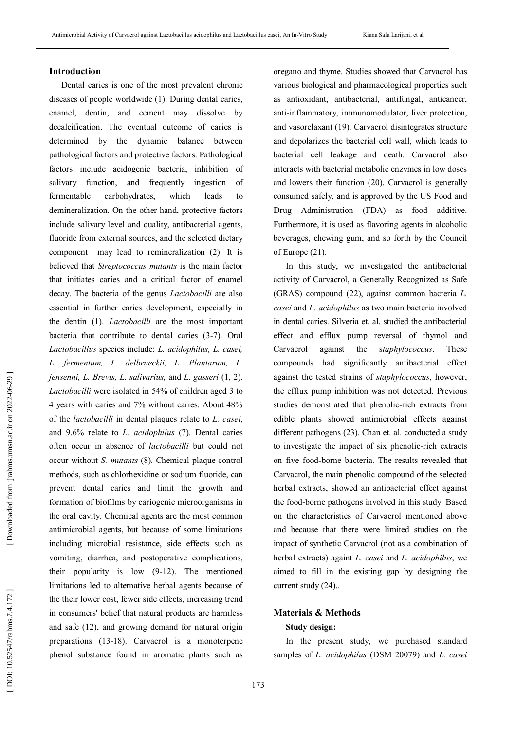## **Introduction**

Dental caries is one of the most prevalent chronic diseases of people worldwide (1). During dental caries, enamel, dentin, and cement may dissolve by decalcification. The eventual outcome of caries is determined by the dynamic balance between pathological factors and protective factors. Pathological factors include acidogenic bacteria, inhibition of salivary function, and frequently ingestion of fermentable carbohydrates, which leads to demineralization. On the other hand, protective factors include salivary level and quality, antibacterial agents, fluoride from external sources, and the selected dietary component may lead to remineralization (2). It is believed that *Streptococcus mutants* is the main factor that initiates caries and a critical factor of enamel decay. The bacteria of the genus *Lactobacilli* are also essential in further caries development, especially in the dentin (1). *Lactobacilli* are the most important bacteria that contribute to dental caries (3 -7). Oral *Lactobacillus* species include: *L. acidophilus, L. casei, L. fermentum, L. delbrueckii, L. Plantarum, L. jensenni, L. Brevis, L. salivarius,* and *L. gasseri* (1, 2). *Lactobacilli* were isolated in 54% of children aged 3 to 4 years with caries and 7% without caries. About 48% of the *lactobacilli* in dental plaques relate to *L. casei*, and 9.6% relate to *L. acidophilus* (7). Dental caries often occur in absence of *lactobacilli* but could not occur without *S. mutants* (8). Chemical plaque control methods, such as chlorhexidine or sodium fluoride, can prevent dental caries and limit the growth and formation of biofilms by cariogenic microorganisms in the oral cavity. Chemical agents are the most common antimicrobial agents, but because of some limitations including microbial resistance, side effects such as vomiting, diarrhea, and postoperative complications, their popularity is low (9 -12). The mentioned limitations led to alternative herbal agents because of the their lower cost, fewer side effects, increasing trend in consumers' belief that natural products are harmless and safe (12), and growing demand for natural origin preparations (13 -18). Carvacrol is a monoterpene phenol substance found in aromatic plants such as

oregano and thyme. Studies showed that Carvacrol has various biological and pharmacological properties such as antioxidant, antibacterial, antifungal, anticancer, anti -inflammatory, immunomodulator, liver protection, and vasorelaxant (19). Carvacrol disintegrates structure and depolarizes the bacterial cell wall, which leads to bacterial cell leakage and death. Carvacrol also interacts with bacterial metabolic enzymes in low doses and lowers their function (20). Carvacrol is generally consumed safely, and is approved by the US Food and Drug Administration (FDA) as food additive. Furthermore, it is used as flavoring agents in alcoholic beverages, chewing gum, and so forth by the Council of Europe (21).

In this study, we investigated the antibacterial activity of Carvacrol, a Generally Recognized as Safe (GRAS) compound (22), against common bacteria *L. casei* and *L. acidophilus* as two main bacteria involved in dental caries. Silveria et. al. studied the antibacterial effect and efflux pump reversal of thymol and Carvacrol against the s*taphylococcus*. These compounds had significantly antibacterial effect against the tested strains of *staphylococcus*, however, the efflux pump inhibition was not detected. Previous studies demonstrated that phenolic -rich extracts from edible plants showed antimicrobial effects against different pathogens (23). Chan et. al. conducted a study to investigate the impact of six phenolic -rich extracts on five food -borne bacteria. The results revealed that Carvacrol, the main phenolic compound of the selected herbal extracts, showed an antibacterial effect against the food -borne pathogens involved in this study. Based on the characteristics of Carvacrol mentioned above and because that there were limited studies on the impact of synthetic Carvacrol (not as a combination of herbal extracts) againt *L. casei* and *L. acidophilus*, we aimed to fill in the existing gap by designing the current study (24) . .

## **Materials & Methods**

#### **Study design :**

In the present study, we purchased standard samples of *L. acidophilus* (DSM 20079) and *L. casei*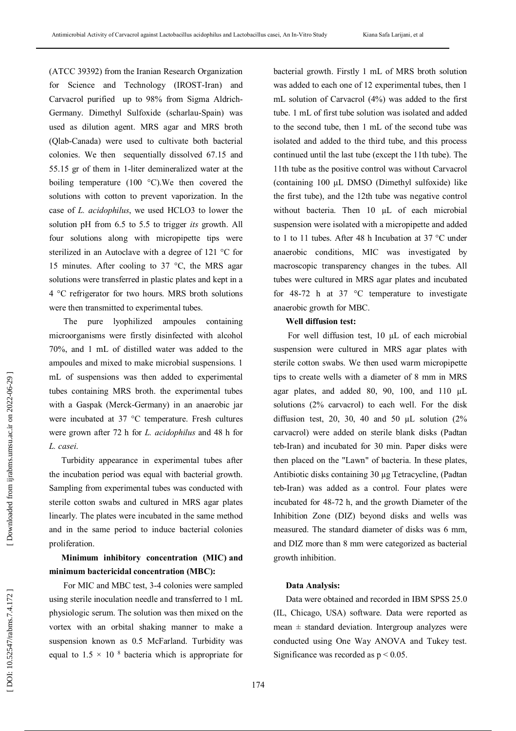(ATCC 39392) from the Iranian Research Organization for Science and Technology (IROST -Iran) and Carvacrol purified up to 98% from Sigma Aldrich - Germany. Dimethyl Sulfoxide (scharlau -Spain) was used as dilution agent. MRS agar and MRS broth (Qlab -Canada) were used to cultivate both bacterial colonies. We then sequentially dissolved 67.15 and 55.15 gr of them in 1 -liter demineralized water at the boiling temperature (100 °C).We then covered the solutions with cotton to prevent vaporization. In the case of *L. acidophilus*, we used HCLO3 to lower the solution pH from 6.5 to 5.5 to trigger *its* growth. All four solutions along with micropipette tips were sterilized in an Autoclave with a degree of 121 °C for 15 minutes. After cooling to 37 °C, the MRS agar solutions were transferred in plastic plates and kept in a 4 °C refrigerator for two hours. MRS broth solutions were then transmitted to experimental tubes.

The pure lyophilized ampoules containing microorganisms were firstly disinfected with alcohol 70%, and 1 mL of distilled water was added to the ampoules and mixed to make microbial suspensions. 1 mL of suspensions was then added to experimental tubes containing MRS broth. the experimental tubes with a Gaspak (Merck -Germany) in an anaerobic jar were incubated at 37 °C temperature. Fresh cultures were grown after 72 h for *L. acidophilus* and 48 h for *L. casei* .

Turbidity appearance in experimental tubes after the incubation period was equal with bacterial growth. Sampling from experimental tubes was conducted with sterile cotton swabs and cultured in MRS agar plates linearly. The plates were incubated in the same method and in the same period to induce bacterial colonies proliferation.

## **Minimum inhibitory concentration (MIC) and minimum bactericidal concentration (MBC) :**

For MIC and MBC test, 3 -4 colonies were sampled using sterile inoculation needle and transferred to 1 mL physiologic serum. The solution was then mixed on the vortex with an orbital shaking manner to make a suspension known as 0.5 McFarland. Turbidity was equal to  $1.5 \times 10^{-8}$  bacteria which is appropriate for bacterial growth. Firstly 1 mL of MRS broth solution was added to each one of 12 experimental tubes, then 1 mL solution of Carvacrol (4%) was added to the first tube. 1 mL of first tube solution was isolated and added to the second tube, then 1 mL of the second tube was isolated and added to the third tube, and this process continued until the last tube (except the 11th tube). The 11th tube as the positive control was without Carvacrol (containing 100 µL DMSO (Dimethyl sulfoxide) like the first tube), and the 12th tube was negative control without bacteria. Then 10 µL of each microbial suspension were isolated with a micropipette and added to 1 to 11 tubes. After 48 h Incubation at 37 °C under anaerobic conditions, MIC was investigated by macroscopic transparency changes in the tubes. All tubes were cultured in MRS agar plates and incubated for 48 -72 h at 37 °C temperature to investigate anaerobic growth for MBC.

#### **Well diffusion test :**

For well diffusion test, 10 µL of each microbial suspension were cultured in MRS agar plates with sterile cotton swabs. We then used warm micropipette tips to create wells with a diameter of 8 mm in MRS agar plates, and added 80, 90, 100, and 110 µL solutions (2% carvacrol) to each well. For the disk diffusion test, 20, 30, 40 and 50  $\mu$ L solution (2%) carvacrol) were added on sterile blank disks (Padtan teb -Iran) and incubated for 30 min. Paper disks were then placed on the "Lawn" of bacteria. In these plates, Antibiotic disks containing 30 µg Tetracycline, (Padtan teb -Iran) was added as a control. Four plates were incubated for 48 -72 h, and the growth Diameter of the Inhibition Zone (DIZ) beyond disks and wells was measured. The standard diameter of disks was 6 mm, and DIZ more than 8 mm were categorized as bacterial growth inhibition.

#### **Data Analysis :**

Data were obtained and recorded in IBM SPSS 25.0 (IL, Chicago, USA) software. Data were reported as mean  $\pm$  standard deviation. Intergroup analyzes were conducted using One Way ANOVA and Tukey test. Significance was recorded as  $p < 0.05$ .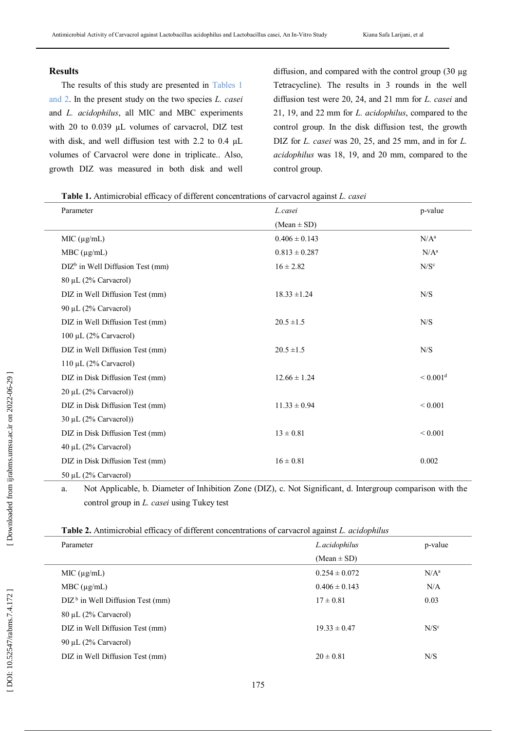## **Results**

The results of this study are presented in Tables 1 and 2. In the present study on the two species *L. casei* and *L. acidophilus*, all MIC and MBC experiments with 20 to 0.039 µL volumes of carvacrol, DIZ test with disk, and well diffusion test with 2.2 to 0.4 µL volumes of Carvacrol were done in triplicate.. Also, growth DIZ was measured in both disk and well

diffusion, and compared with the control group (30 µg Tetracycline). The results in 3 rounds in the well diffusion test were 20, 24, and 21 mm for *L. casei* and 21, 19, and 22 mm for *L. acidophilus*, compared to the control group. In the disk diffusion test, the growth DIZ for *L. casei* was 20, 25, and 25 mm, and in for *L. acidophilus* was 18, 19, and 20 mm, compared to the control group.

|  | Table 1. Antimicrobial efficacy of different concentrations of carvacrol against L. casei |  |
|--|-------------------------------------------------------------------------------------------|--|
|  |                                                                                           |  |

| Parameter                          | L.casei           | p-value                |
|------------------------------------|-------------------|------------------------|
|                                    | $(Mean \pm SD)$   |                        |
| MIC (µg/mL)                        | $0.406 \pm 0.143$ | $N/A^a$                |
| $MBC (\mu g/mL)$                   | $0.813 \pm 0.287$ | $N/A^a$                |
| $DIZb$ in Well Diffusion Test (mm) | $16 \pm 2.82$     | N/S <sup>c</sup>       |
| 80 μL (2% Carvacrol)               |                   |                        |
| DIZ in Well Diffusion Test (mm)    | $18.33 \pm 1.24$  | N/S                    |
| 90 μL (2% Carvacrol)               |                   |                        |
| DIZ in Well Diffusion Test (mm)    | $20.5 \pm 1.5$    | N/S                    |
| $100 \mu L$ (2% Carvacrol)         |                   |                        |
| DIZ in Well Diffusion Test (mm)    | $20.5 \pm 1.5$    | ${\rm N/S}$            |
| $110 \mu L$ (2% Carvacrol)         |                   |                        |
| DIZ in Disk Diffusion Test (mm)    | $12.66 \pm 1.24$  | $< 0.001$ <sup>d</sup> |
| $20 \mu L$ (2% Carvacrol))         |                   |                        |
| DIZ in Disk Diffusion Test (mm)    | $11.33 \pm 0.94$  | ${}< 0.001$            |
| 30 μL (2% Carvacrol))              |                   |                        |
| DIZ in Disk Diffusion Test (mm)    | $13 \pm 0.81$     | ${}< 0.001$            |
| 40 μL (2% Carvacrol)               |                   |                        |
| DIZ in Disk Diffusion Test (mm)    | $16 \pm 0.81$     | 0.002                  |
| 50 μL (2% Carvacrol)               |                   |                        |

a. Not Applicable, b. Diameter of Inhibition Zone (DIZ), c. Not Significant, d. Intergroup comparison with the control group in *L. casei* using Tukey test

**Table 2.** Antimicrobial efficacy of different concentrations of carvacrol against *L. acidophilus*

| Parameter                           | L.acidophilus     | p-value          |
|-------------------------------------|-------------------|------------------|
|                                     | $(Mean \pm SD)$   |                  |
| MIC $(\mu g/mL)$                    | $0.254 \pm 0.072$ | $N/A^a$          |
| $MBC (\mu g/mL)$                    | $0.406 \pm 0.143$ | N/A              |
| $DIZ^b$ in Well Diffusion Test (mm) | $17 \pm 0.81$     | 0.03             |
| $80 \mu L$ (2% Carvacrol)           |                   |                  |
| DIZ in Well Diffusion Test (mm)     | $19.33 \pm 0.47$  | N/S <sup>c</sup> |
| 90 µL $(2\%$ Carvacrol)             |                   |                  |
| DIZ in Well Diffusion Test (mm)     | $20 \pm 0.81$     | N/S              |
|                                     |                   |                  |

[Downloaded from ijrabms.umsu.ac.ir on 2022-06-29]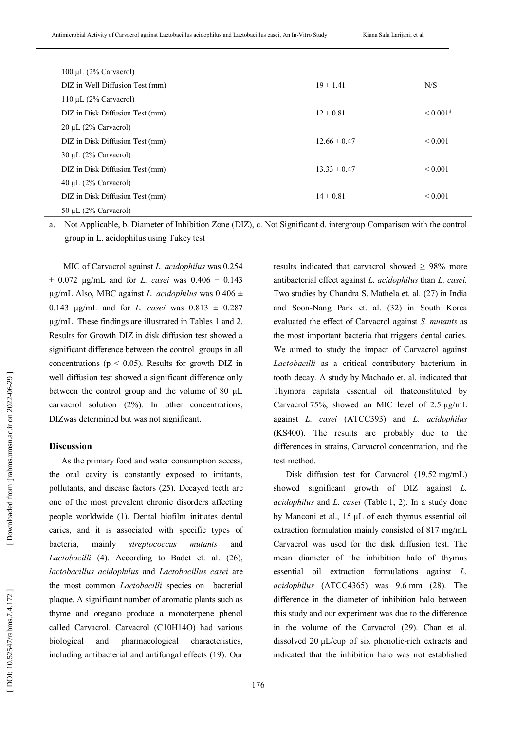| 100 µL $(2\%$ Carvacrol)        |                  |                      |
|---------------------------------|------------------|----------------------|
| DIZ in Well Diffusion Test (mm) | $19 \pm 1.41$    | N/S                  |
| 110 µL $(2\%$ Carvacrol)        |                  |                      |
| DIZ in Disk Diffusion Test (mm) | $12 \pm 0.81$    | < 0.001 <sup>d</sup> |
| $20 \mu L$ (2% Carvacrol)       |                  |                      |
| DIZ in Disk Diffusion Test (mm) | $12.66 \pm 0.47$ | ${}_{0.001}$         |
| $30 \mu L$ (2% Carvacrol)       |                  |                      |
| DIZ in Disk Diffusion Test (mm) | $13.33 \pm 0.47$ | ${}_{0.001}$         |
| $40 \mu L$ (2% Carvacrol)       |                  |                      |
| DIZ in Disk Diffusion Test (mm) | $14 \pm 0.81$    | ${}_{0.001}$         |
| 50 µL $(2\%$ Carvacrol)         |                  |                      |

a. Not Applicable, b. Diameter of Inhibition Zone (DIZ), c. Not Significant d. intergroup Comparison with the control group in L. acidophilus using Tukey test

MIC of Carvacrol against *L. acidophilus* was 0.254  $\pm$  0.072 µg/mL and for *L. casei* was 0.406  $\pm$  0.143 µg/mL Also, MBC against *L. acidophilus* was 0.406 ± 0.143 µg/mL and for *L. casei* was 0.813 ± 0.287 µg/mL. These findings are illustrated in Tables 1 and 2. Results for Growth DIZ in disk diffusion test showed a significant difference between the control groups in all concentrations ( $p < 0.05$ ). Results for growth DIZ in well diffusion test showed a significant difference only between the control group and the volume of 80 µL carvacrol solution (2%). In other concentrations, DIZwas determined but was not significant.

### **Discussion**

As the primary food and water consumption access, the oral cavity is constantly exposed to irritants, pollutants, and disease factors (25). Decayed teeth are one of the most prevalent chronic disorders affecting people worldwide (1). Dental biofilm initiates dental caries, and it is associated with specific types of bacteria, mainly *streptococcus mutants* and *Lactobacilli* (4). According to Badet et. al. (26), *lactobacillus acidophilus* and *Lactobacillus casei* are the most common *Lactobacilli* species on bacterial plaque. A significant number of aromatic plants such as thyme and oregano produce a monoterpene phenol called Carvacrol. Carvacrol (C10H14O) had various biological and pharmacological characteristics, including antibacterial and antifungal effects (19). Our

antibacterial effect against *L. acidophilus* than *L. casei.* Two studies by Chandra S. Mathela et. al. (27) in India and Soon -Nang Park et. al. (32) in South Korea evaluated the effect of Carvacrol against *S. mutants* as the most important bacteria that triggers dental caries. We aimed to study the impact of Carvacrol against *Lactobacilli* as a critical contributory bacterium in tooth decay. A study by Machado et. al. indicated that Thymbra capitata essential oil thatconstituted by Carvacrol 75%, showed an MIC level of 2.5 µg/mL against *L. casei* (ATCC393) and *L. acidophilus*  (KS400). The results are probably due to the differences in strains, Carvacrol concentration, and the test method.

results indicated that carvacrol showed ≥ 98% more

Disk diffusion test for Carvacrol (19.52 mg/mL) showed significant growth of DIZ against *L. acidophilus* and *L. casei* (Table 1, 2). In a study done by Manconi et al., 15 µL of each thymus essential oil extraction formulation mainly consisted of 817 mg/mL Carvacrol was used for the disk diffusion test. The mean diameter of the inhibition halo of thymus essential oil extraction formulations against *L. acidophilus* (ATCC4365) was 9.6 mm (28). The difference in the diameter of inhibition halo between this study and our experiment was due to the difference in the volume of the Carvacrol (29). Chan et al. dissolved 20 µL/cup of six phenolic -rich extracts and indicated that the inhibition halo was not established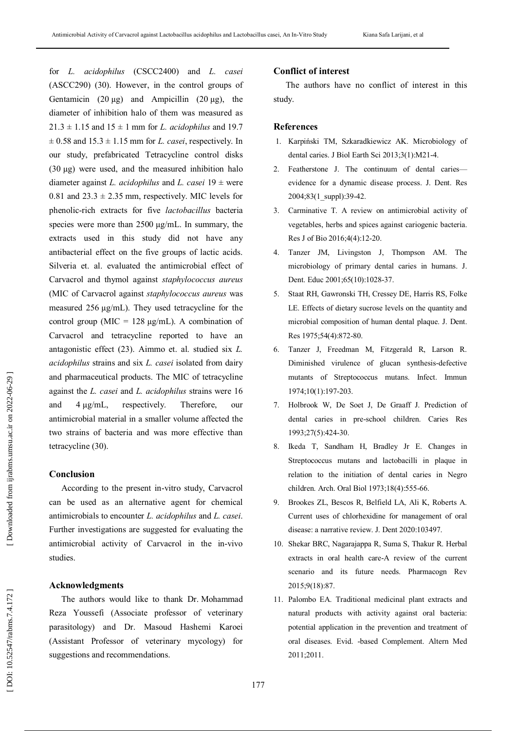for *L. acidophilus* (CSCC2400) and *L. casei* (ASCC290) (30). However, in the control groups of Gentamicin (20  $\mu$ g) and Ampicillin (20  $\mu$ g), the diameter of inhibition halo of them was measured as  $21.3 \pm 1.15$  and  $15 \pm 1$  mm for *L. acidophilus* and 19.7  $\pm$  0.58 and 15.3  $\pm$  1.15 mm for *L. casei*, respectively. In our study, prefabricated Tetracycline control disks (30 µg) were used, and the measured inhibition halo diameter against *L. acidophilus* and *L. casei*  $19 \pm$  were 0.81 and  $23.3 \pm 2.35$  mm, respectively. MIC levels for phenolic -rich extracts for five *lactobacillus* bacteria species were more than 2500  $\mu$ g/mL. In summary, the extracts used in this study did not have any antibacterial effect on the five groups of lactic acids. Silveria et. al. evaluated the antimicrobial effect of Carvacrol and thymol against *staphylococcus aureus* (MIC of Carvacrol against *staphylococcus aureus* was measured 256 µg/mL). They used tetracycline for the control group (MIC =  $128 \mu g/mL$ ). A combination of Carvacrol and tetracycline reported to have an antagonistic effect (23). Aimmo et. al. studied six *L. acidophilus* strains and six *L. casei* isolated from dairy and pharmaceutical products. The MIC of tetracycline against the *L. casei* and *L. acidophilus* strains were 16 and 4 µg/mL, respectively. Therefore, our antimicrobial material in a smaller volume affected the two strains of bacteria and was more effective than tetracycline (30).

## **Conclusion**

According to the present in -vitro study, Carvacrol can be used as an alternative agent for chemical antimicrobials to encounter *L. acidophilus* and *L. casei*. Further investigations are suggested for evaluating the antimicrobial activity of Carvacrol in the in -vivo studies.

## **Acknowledgments**

The authors would like to thank Dr. Mohammad Reza Youssefi (Associate professor of veterinary parasitology) and Dr. Masoud Hashemi Karoei (Assistant Professor of veterinary mycology) for suggestions and recommendations.

## **Conflict of interest**

The authors have no conflict of interest in this study.

## **References**

- 1. Karpiński TM, Szkaradkiewicz AK. Microbiology of dental caries. J Biol Earth Sci 2013;3(1):M21 -4.
- 2. Featherstone J. The continuum of dental caries evidence for a dynamic disease process. J. Dent. Res 2004;83(1\_suppl):39 -42.
- 3. Carminative T. A review on antimicrobial activity of vegetables, herbs and spices against cariogenic bacteria. Res J of Bio 2016;4(4):12 -20.
- 4. Tanzer JM, Livingston J, Thompson AM. The microbiology of primary dental caries in humans. J. Dent. Educ 2001;65(10):1028 -37.
- 5. Staat RH, Gawronski TH, Cressey DE, Harris RS, Folke LE. Effects of dietary sucrose levels on the quantity and microbial composition of human dental plaque. J. Dent. Res 1975;54(4):872 -80.
- 6. Tanzer J, Freedman M, Fitzgerald R, Larson R. Diminished virulence of glucan synthesis -defective mutants of Streptococcus mutans. Infect. Immun 1974;10(1):197 -203.
- 7. Holbrook W, De Soet J, De Graaff J. Prediction of dental caries in pre -school children. Caries Res 1993;27(5):424 -30.
- 8. Ikeda T, Sandham H, Bradley Jr E. Changes in Streptococcus mutans and lactobacilli in plaque in relation to the initiation of dental caries in Negro children. Arch. Oral Biol 1973;18(4):555 -66.
- 9. Brookes ZL, Bescos R, Belfield LA, Ali K, Roberts A. Current uses of chlorhexidine for management of oral disease: a narrative review. J. Dent 2020:103497.
- 10. Shekar BRC, Nagarajappa R, Suma S, Thakur R. Herbal extracts in oral health care -A review of the current scenario and its future needs. Pharmacogn Rev 2015;9(18):87.
- 11. Palombo EA. Traditional medicinal plant extracts and natural products with activity against oral bacteria: potential application in the prevention and treatment of oral diseases. Evid. -based Complement. Altern Med 2011;2011.